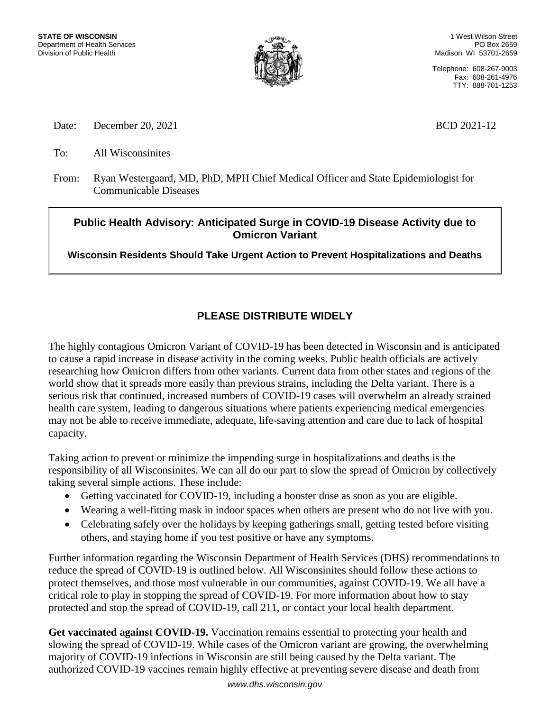

1 West Wilson Street PO Box 2659 Madison WI 53701-2659

Telephone: 608-267-9003 Fax: 608-261-4976 TTY: 888-701-1253

Date: December 20, 2021 BCD 2021-12

To: All Wisconsinites

From: Ryan Westergaard, MD, PhD, MPH Chief Medical Officer and State Epidemiologist for Communicable Diseases

## **Public Health Advisory: Anticipated Surge in COVID-19 Disease Activity due to Omicron Variant**

**Wisconsin Residents Should Take Urgent Action to Prevent Hospitalizations and Deaths**

## **PLEASE DISTRIBUTE WIDELY**

The highly contagious Omicron Variant of COVID-19 has been detected in Wisconsin and is anticipated to cause a rapid increase in disease activity in the coming weeks. Public health officials are actively researching how Omicron differs from other variants. Current data from other states and regions of the world show that it spreads more easily than previous strains, including the Delta variant. There is a serious risk that continued, increased numbers of COVID-19 cases will overwhelm an already strained health care system, leading to dangerous situations where patients experiencing medical emergencies may not be able to receive immediate, adequate, life-saving attention and care due to lack of hospital capacity.

Taking action to prevent or minimize the impending surge in hospitalizations and deaths is the responsibility of all Wisconsinites. We can all do our part to slow the spread of Omicron by collectively taking several simple actions. These include:

- Getting vaccinated for COVID-19, including a booster dose as soon as you are eligible.
- Wearing a well-fitting mask in indoor spaces when others are present who do not live with you.
- Celebrating safely over the holidays by keeping gatherings small, getting tested before visiting others, and staying home if you test positive or have any symptoms.

Further information regarding the Wisconsin Department of Health Services (DHS) recommendations to reduce the spread of COVID-19 is outlined below. All Wisconsinites should follow these actions to protect themselves, and those most vulnerable in our communities, against COVID-19. We all have a critical role to play in stopping the spread of COVID-19. For more information about how to stay protected and stop the spread of COVID-19, call 211, or contact your local health department.

Get vaccinated against COVID-19. Vaccination remains essential to protecting your health and slowing the spread of COVID-19. While cases of the Omicron variant are growing, the overwhelming majority of COVID-19 infections in Wisconsin are still being caused by the Delta variant. The authorized COVID-19 vaccines remain highly effective at preventing severe disease and death from

*www.dhs.wisconsin.gov*